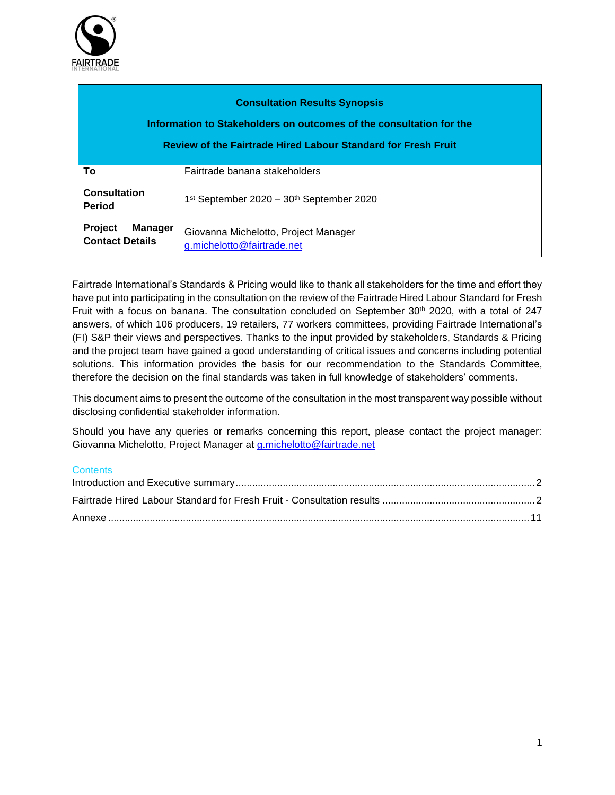

| <b>Consultation Results Synopsis</b><br>Information to Stakeholders on outcomes of the consultation for the<br><b>Review of the Fairtrade Hired Labour Standard for Fresh Fruit</b> |                                                                    |  |  |  |  |
|-------------------------------------------------------------------------------------------------------------------------------------------------------------------------------------|--------------------------------------------------------------------|--|--|--|--|
| Τo                                                                                                                                                                                  | Fairtrade banana stakeholders                                      |  |  |  |  |
| <b>Consultation</b><br><b>Period</b>                                                                                                                                                | 1 <sup>st</sup> September 2020 - 30 <sup>th</sup> September 2020   |  |  |  |  |
| Project<br><b>Manager</b><br><b>Contact Details</b>                                                                                                                                 | Giovanna Michelotto, Project Manager<br>g.michelotto@fairtrade.net |  |  |  |  |

Fairtrade International's Standards & Pricing would like to thank all stakeholders for the time and effort they have put into participating in the consultation on the review of the Fairtrade Hired Labour Standard for Fresh Fruit with a focus on banana. The consultation concluded on September 30<sup>th</sup> 2020, with a total of 247 answers, of which 106 producers, 19 retailers, 77 workers committees, providing Fairtrade International's (FI) S&P their views and perspectives. Thanks to the input provided by stakeholders, Standards & Pricing and the project team have gained a good understanding of critical issues and concerns including potential solutions. This information provides the basis for our recommendation to the Standards Committee, therefore the decision on the final standards was taken in full knowledge of stakeholders' comments.

This document aims to present the outcome of the consultation in the most transparent way possible without disclosing confidential stakeholder information.

Should you have any queries or remarks concerning this report, please contact the project manager: Giovanna Michelotto, Project Manager at [g.michelotto@fairtrade.net](mailto:g.michelotto@fairtrade.net) 

# **Contents**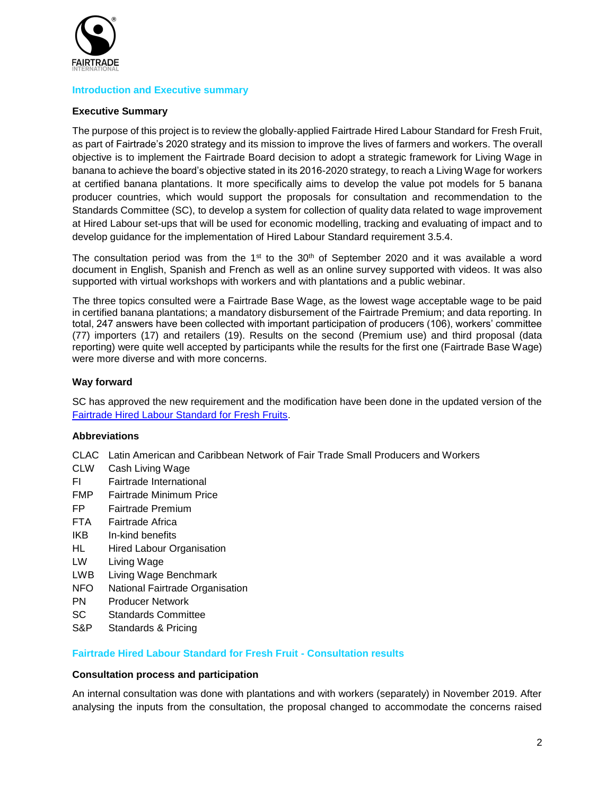

### <span id="page-1-0"></span>**Introduction and Executive summary**

### **Executive Summary**

The purpose of this project is to review the globally-applied Fairtrade Hired Labour Standard for Fresh Fruit, as part of Fairtrade's 2020 strategy and its mission to improve the lives of farmers and workers. The overall objective is to implement the Fairtrade Board decision to adopt a strategic framework for Living Wage in banana to achieve the board's objective stated in its 2016-2020 strategy, to reach a Living Wage for workers at certified banana plantations. It more specifically aims to develop the value pot models for 5 banana producer countries, which would support the proposals for consultation and recommendation to the Standards Committee (SC), to develop a system for collection of quality data related to wage improvement at Hired Labour set-ups that will be used for economic modelling, tracking and evaluating of impact and to develop guidance for the implementation of Hired Labour Standard requirement 3.5.4.

The consultation period was from the 1<sup>st</sup> to the 30<sup>th</sup> of September 2020 and it was available a word document in English, Spanish and French as well as an online survey supported with videos. It was also supported with virtual workshops with workers and with plantations and a public webinar.

The three topics consulted were a Fairtrade Base Wage, as the lowest wage acceptable wage to be paid in certified banana plantations; a mandatory disbursement of the Fairtrade Premium; and data reporting. In total, 247 answers have been collected with important participation of producers (106), workers' committee (77) importers (17) and retailers (19). Results on the second (Premium use) and third proposal (data reporting) were quite well accepted by participants while the results for the first one (Fairtrade Base Wage) were more diverse and with more concerns.

### **Way forward**

SC has approved the new requirement and the modification have been done in the updated version of the [Fairtrade Hired Labour Standard for Fresh Fruits.](https://files.fairtrade.net/standards/Fresh_Fruit_HL-EN.pdf)

## **Abbreviations**

- CLAC Latin American and Caribbean Network of Fair Trade Small Producers and Workers
- CLW Cash Living Wage
- FI Fairtrade International
- FMP Fairtrade Minimum Price
- FP Fairtrade Premium
- FTA Fairtrade Africa
- IKB In-kind benefits
- HL Hired Labour Organisation
- LW Living Wage
- LWB Living Wage Benchmark
- NFO National Fairtrade Organisation
- PN Producer Network
- SC Standards Committee
- <span id="page-1-1"></span>S&P Standards & Pricing

#### **Fairtrade Hired Labour Standard for Fresh Fruit - Consultation results**

#### **Consultation process and participation**

An internal consultation was done with plantations and with workers (separately) in November 2019. After analysing the inputs from the consultation, the proposal changed to accommodate the concerns raised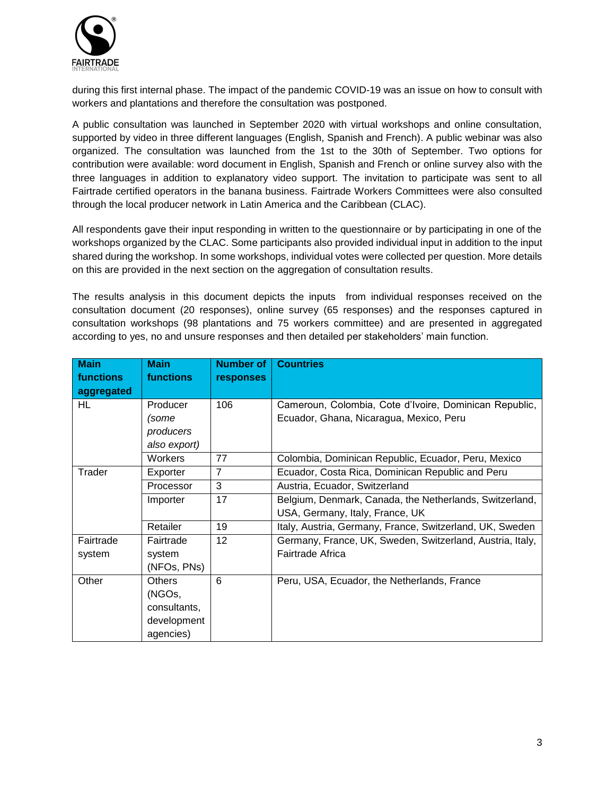

during this first internal phase. The impact of the pandemic COVID-19 was an issue on how to consult with workers and plantations and therefore the consultation was postponed.

A public consultation was launched in September 2020 with virtual workshops and online consultation, supported by video in three different languages (English, Spanish and French). A public webinar was also organized. The consultation was launched from the 1st to the 30th of September. Two options for contribution were available: word document in English, Spanish and French or online survey also with the three languages in addition to explanatory video support. The invitation to participate was sent to all Fairtrade certified operators in the banana business. Fairtrade Workers Committees were also consulted through the local producer network in Latin America and the Caribbean (CLAC).

All respondents gave their input responding in written to the questionnaire or by participating in one of the workshops organized by the CLAC. Some participants also provided individual input in addition to the input shared during the workshop. In some workshops, individual votes were collected per question. More details on this are provided in the next section on the aggregation of consultation results.

The results analysis in this document depicts the inputs from individual responses received on the consultation document (20 responses), online survey (65 responses) and the responses captured in consultation workshops (98 plantations and 75 workers committee) and are presented in aggregated according to yes, no and unsure responses and then detailed per stakeholders' main function.

| <b>Main</b><br>functions<br>aggregated | <b>Main</b><br>functions                                            | <b>Number of</b><br>responses | <b>Countries</b>                                                                                  |
|----------------------------------------|---------------------------------------------------------------------|-------------------------------|---------------------------------------------------------------------------------------------------|
| HL                                     | Producer<br>(some<br>producers<br>also export)                      | 106                           | Cameroun, Colombia, Cote d'Ivoire, Dominican Republic,<br>Ecuador, Ghana, Nicaragua, Mexico, Peru |
|                                        | Workers                                                             | 77                            | Colombia, Dominican Republic, Ecuador, Peru, Mexico                                               |
| Trader                                 | Exporter                                                            | $\overline{7}$                | Ecuador, Costa Rica, Dominican Republic and Peru                                                  |
|                                        | Processor                                                           | 3                             | Austria, Ecuador, Switzerland                                                                     |
|                                        | Importer                                                            | 17                            | Belgium, Denmark, Canada, the Netherlands, Switzerland,<br>USA, Germany, Italy, France, UK        |
|                                        | Retailer                                                            | 19                            | Italy, Austria, Germany, France, Switzerland, UK, Sweden                                          |
| Fairtrade                              | Fairtrade                                                           | $12 \overline{ }$             | Germany, France, UK, Sweden, Switzerland, Austria, Italy,                                         |
| system                                 | system<br>(NFOs, PNs)                                               |                               | Fairtrade Africa                                                                                  |
| Other                                  | <b>Others</b><br>(NGOs,<br>consultants,<br>development<br>agencies) | 6                             | Peru, USA, Ecuador, the Netherlands, France                                                       |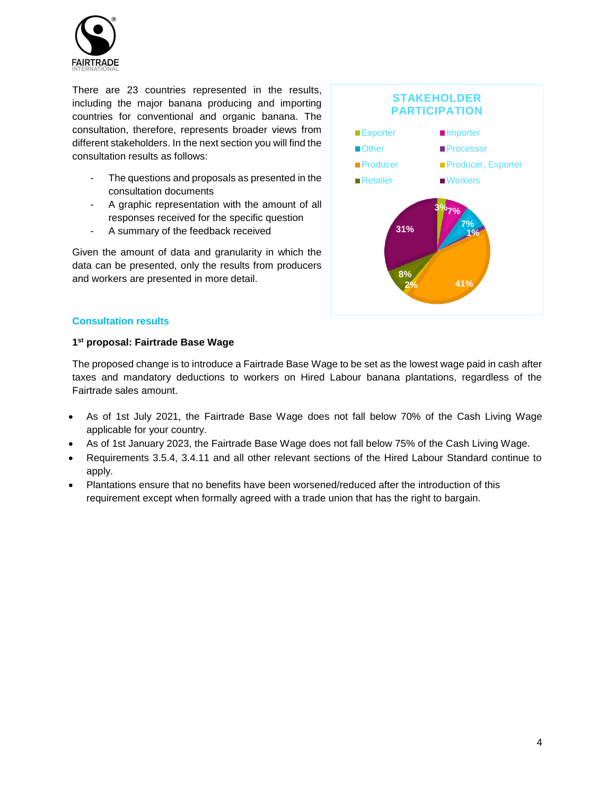

There are 23 countries represented in the results, including the major banana producing and importing countries for conventional and organic banana. The consultation, therefore, represents broader views from different stakeholders. In the next section you will find the consultation results as follows:

- The questions and proposals as presented in the consultation documents
- A graphic representation with the amount of all responses received for the specific question
- A summary of the feedback received

Given the amount of data and granularity in which the data can be presented, only the results from producers and workers are presented in more detail.



### **Consultation results**

#### **1 st proposal: Fairtrade Base Wage**

The proposed change is to introduce a Fairtrade Base Wage to be set as the lowest wage paid in cash after taxes and mandatory deductions to workers on Hired Labour banana plantations, regardless of the Fairtrade sales amount.

- As of 1st July 2021, the Fairtrade Base Wage does not fall below 70% of the Cash Living Wage applicable for your country.
- As of 1st January 2023, the Fairtrade Base Wage does not fall below 75% of the Cash Living Wage.
- Requirements 3.5.4, 3.4.11 and all other relevant sections of the Hired Labour Standard continue to apply.
- Plantations ensure that no benefits have been worsened/reduced after the introduction of this requirement except when formally agreed with a trade union that has the right to bargain.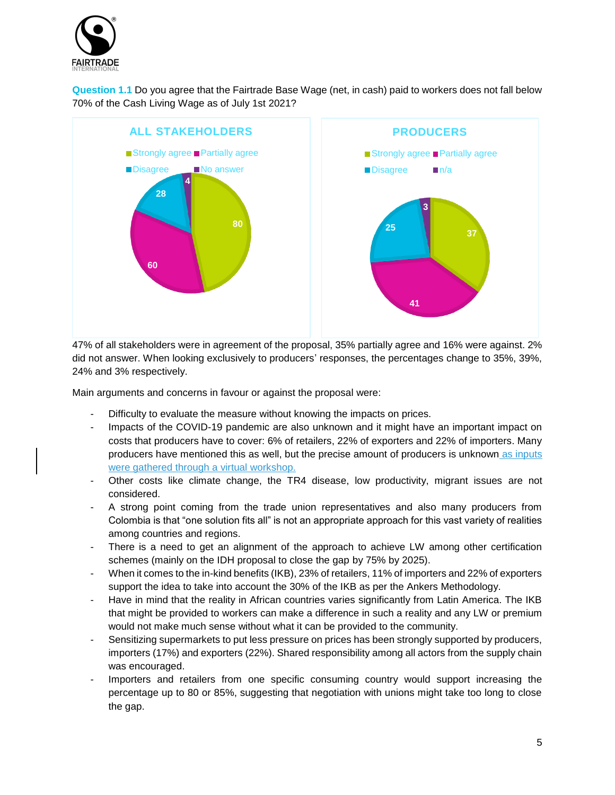

**Question 1.1** Do you agree that the Fairtrade Base Wage (net, in cash) paid to workers does not fall below 70% of the Cash Living Wage as of July 1st 2021?



47% of all stakeholders were in agreement of the proposal, 35% partially agree and 16% were against. 2% did not answer. When looking exclusively to producers' responses, the percentages change to 35%, 39%, 24% and 3% respectively.

Main arguments and concerns in favour or against the proposal were:

- Difficulty to evaluate the measure without knowing the impacts on prices.
- Impacts of the COVID-19 pandemic are also unknown and it might have an important impact on costs that producers have to cover: 6% of retailers, 22% of exporters and 22% of importers. Many producers have mentioned this as well, but the precise amount of producers is unknown as inputs were gathered through a virtual workshop.
- Other costs like climate change, the TR4 disease, low productivity, migrant issues are not considered.
- A strong point coming from the trade union representatives and also many producers from Colombia is that "one solution fits all" is not an appropriate approach for this vast variety of realities among countries and regions.
- There is a need to get an alignment of the approach to achieve LW among other certification schemes (mainly on the IDH proposal to close the gap by 75% by 2025).
- When it comes to the in-kind benefits (IKB), 23% of retailers, 11% of importers and 22% of exporters support the idea to take into account the 30% of the IKB as per the Ankers Methodology.
- Have in mind that the reality in African countries varies significantly from Latin America. The IKB that might be provided to workers can make a difference in such a reality and any LW or premium would not make much sense without what it can be provided to the community.
- Sensitizing supermarkets to put less pressure on prices has been strongly supported by producers, importers (17%) and exporters (22%). Shared responsibility among all actors from the supply chain was encouraged.
- Importers and retailers from one specific consuming country would support increasing the percentage up to 80 or 85%, suggesting that negotiation with unions might take too long to close the gap.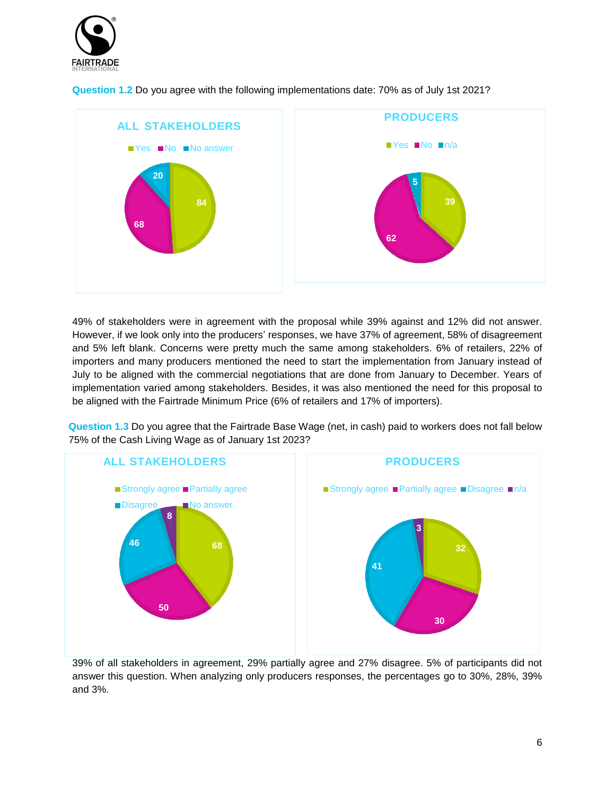



**Question 1.2** Do you agree with the following implementations date: 70% as of July 1st 2021?

49% of stakeholders were in agreement with the proposal while 39% against and 12% did not answer. However, if we look only into the producers' responses, we have 37% of agreement, 58% of disagreement and 5% left blank. Concerns were pretty much the same among stakeholders. 6% of retailers, 22% of importers and many producers mentioned the need to start the implementation from January instead of July to be aligned with the commercial negotiations that are done from January to December. Years of implementation varied among stakeholders. Besides, it was also mentioned the need for this proposal to be aligned with the Fairtrade Minimum Price (6% of retailers and 17% of importers).

**Question 1.3** Do you agree that the Fairtrade Base Wage (net, in cash) paid to workers does not fall below 75% of the Cash Living Wage as of January 1st 2023?



39% of all stakeholders in agreement, 29% partially agree and 27% disagree. 5% of participants did not answer this question. When analyzing only producers responses, the percentages go to 30%, 28%, 39% and 3%.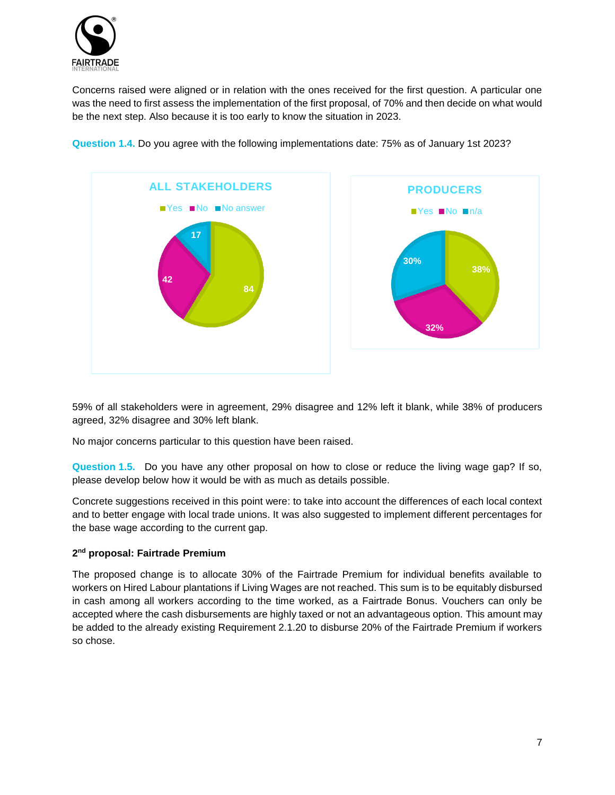

Concerns raised were aligned or in relation with the ones received for the first question. A particular one was the need to first assess the implementation of the first proposal, of 70% and then decide on what would be the next step. Also because it is too early to know the situation in 2023.



**Question 1.4.** Do you agree with the following implementations date: 75% as of January 1st 2023?

59% of all stakeholders were in agreement, 29% disagree and 12% left it blank, while 38% of producers agreed, 32% disagree and 30% left blank.

No major concerns particular to this question have been raised.

**Question 1.5.** Do you have any other proposal on how to close or reduce the living wage gap? If so, please develop below how it would be with as much as details possible.

Concrete suggestions received in this point were: to take into account the differences of each local context and to better engage with local trade unions. It was also suggested to implement different percentages for the base wage according to the current gap.

# **2 nd proposal: Fairtrade Premium**

The proposed change is to allocate 30% of the Fairtrade Premium for individual benefits available to workers on Hired Labour plantations if Living Wages are not reached. This sum is to be equitably disbursed in cash among all workers according to the time worked, as a Fairtrade Bonus. Vouchers can only be accepted where the cash disbursements are highly taxed or not an advantageous option. This amount may be added to the already existing Requirement 2.1.20 to disburse 20% of the Fairtrade Premium if workers so chose.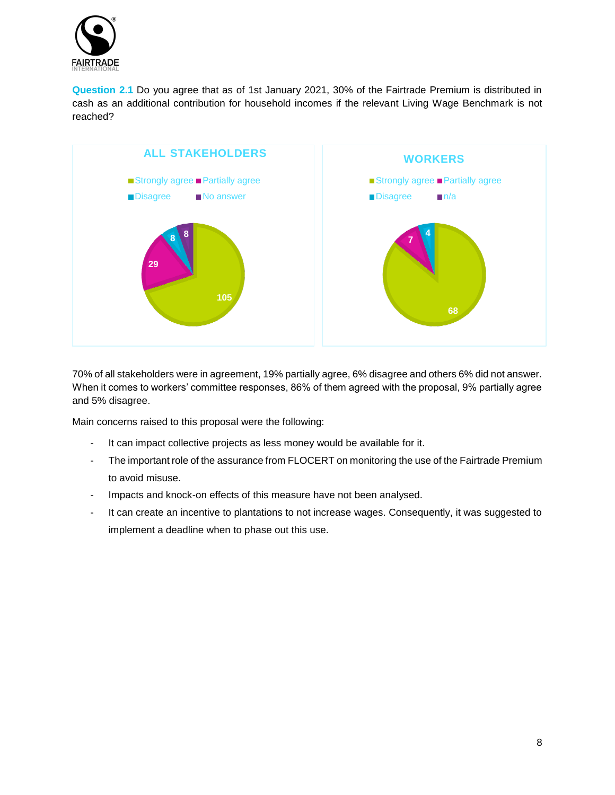

**Question 2.1** Do you agree that as of 1st January 2021, 30% of the Fairtrade Premium is distributed in cash as an additional contribution for household incomes if the relevant Living Wage Benchmark is not reached?



70% of all stakeholders were in agreement, 19% partially agree, 6% disagree and others 6% did not answer. When it comes to workers' committee responses, 86% of them agreed with the proposal, 9% partially agree and 5% disagree.

Main concerns raised to this proposal were the following:

- It can impact collective projects as less money would be available for it.
- The important role of the assurance from FLOCERT on monitoring the use of the Fairtrade Premium to avoid misuse.
- Impacts and knock-on effects of this measure have not been analysed.
- It can create an incentive to plantations to not increase wages. Consequently, it was suggested to implement a deadline when to phase out this use.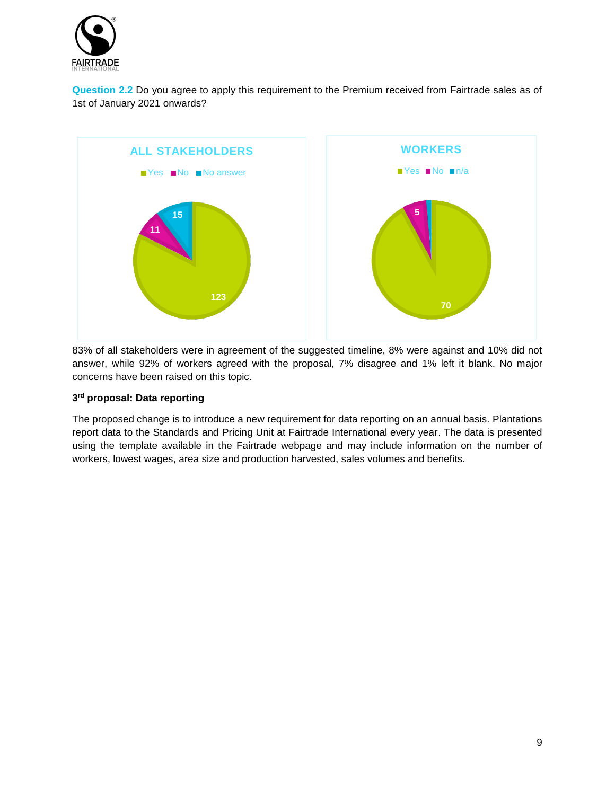

**Question 2.2** Do you agree to apply this requirement to the Premium received from Fairtrade sales as of 1st of January 2021 onwards?



83% of all stakeholders were in agreement of the suggested timeline, 8% were against and 10% did not answer, while 92% of workers agreed with the proposal, 7% disagree and 1% left it blank. No major concerns have been raised on this topic.

# **3 rd proposal: Data reporting**

The proposed change is to introduce a new requirement for data reporting on an annual basis. Plantations report data to the Standards and Pricing Unit at Fairtrade International every year. The data is presented using the template available in the Fairtrade webpage and may include information on the number of workers, lowest wages, area size and production harvested, sales volumes and benefits.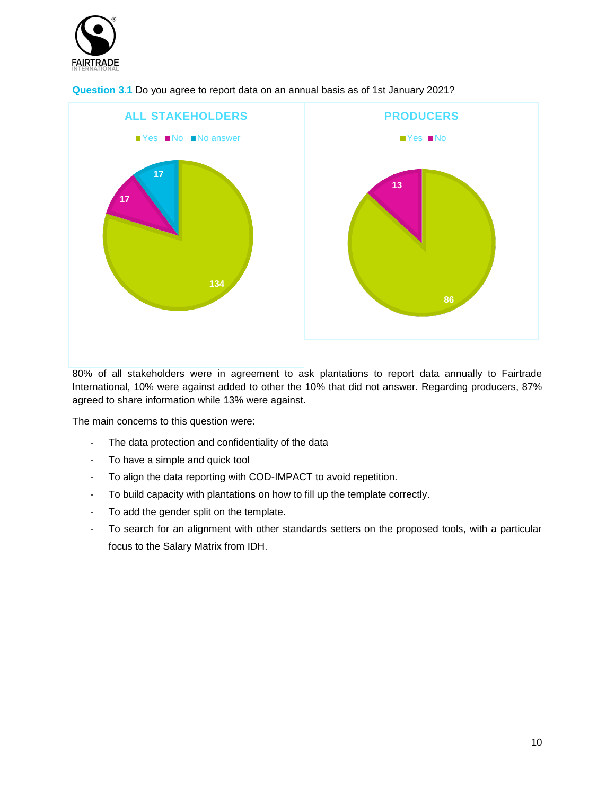



### **Question 3.1** Do you agree to report data on an annual basis as of 1st January 2021?

80% of all stakeholders were in agreement to ask plantations to report data annually to Fairtrade International, 10% were against added to other the 10% that did not answer. Regarding producers, 87% agreed to share information while 13% were against.

The main concerns to this question were:

- The data protection and confidentiality of the data
- To have a simple and quick tool
- To align the data reporting with COD-IMPACT to avoid repetition.
- To build capacity with plantations on how to fill up the template correctly.
- To add the gender split on the template.
- To search for an alignment with other standards setters on the proposed tools, with a particular focus to the Salary Matrix from IDH.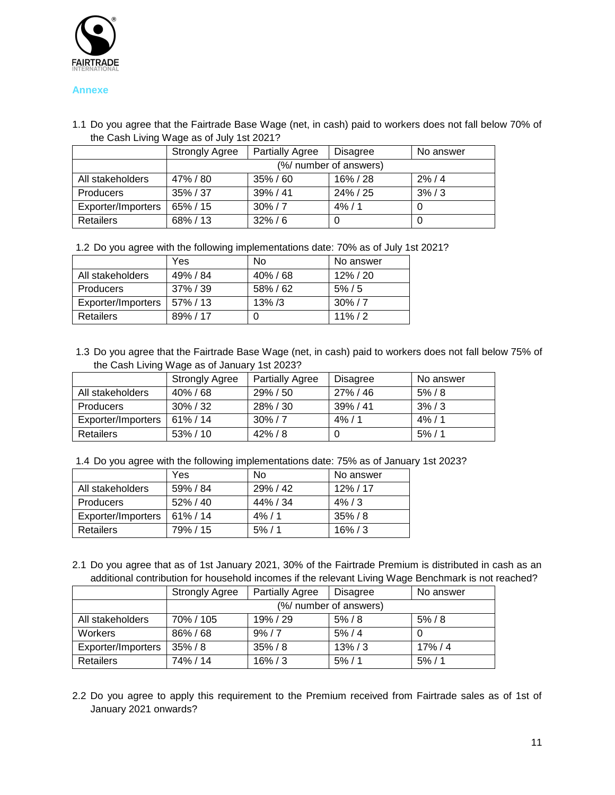

### <span id="page-10-0"></span>**Annexe**

1.1 Do you agree that the Fairtrade Base Wage (net, in cash) paid to workers does not fall below 70% of the Cash Living Wage as of July 1st 2021?

|                    | <b>Strongly Agree</b>  | <b>Partially Agree</b> | <b>Disagree</b> | No answer |
|--------------------|------------------------|------------------------|-----------------|-----------|
|                    | (%/ number of answers) |                        |                 |           |
| All stakeholders   | 47% / 80               | $35\% / 60$            | $16\% / 28$     | $2\% / 4$ |
| <b>Producers</b>   | $35\% / 37$            | $39\% / 41$            | 24% / 25        | $3\% / 3$ |
| Exporter/Importers | 65% / 15               | $30\% / 7$             | $4\% / 1$       |           |
| Retailers          | 68%/13                 | $32\% / 6$             |                 |           |

1.2 Do you agree with the following implementations date: 70% as of July 1st 2021?

|                    | Yes         | No          | No answer   |
|--------------------|-------------|-------------|-------------|
| All stakeholders   | 49% / 84    | $40\% / 68$ | $12\% / 20$ |
| Producers          | $37\% / 39$ | $58\% / 62$ | $5\% / 5$   |
| Exporter/Importers | $57\%$ / 13 | $13\%$ /3   | $30\% / 7$  |
| <b>Retailers</b>   | 89%/17      |             | $11\%$ / 2  |

1.3 Do you agree that the Fairtrade Base Wage (net, in cash) paid to workers does not fall below 75% of the Cash Living Wage as of January 1st 2023?

|                    | <b>Strongly Agree</b> | <b>Partially Agree</b> | <b>Disagree</b> | No answer |
|--------------------|-----------------------|------------------------|-----------------|-----------|
| All stakeholders   | $40\% / 68$           | $29\% / 50$            | 27%/46          | $5\% / 8$ |
| <b>Producers</b>   | $30\% / 32$           | 28%/30                 | $39\% / 41$     | $3\% / 3$ |
| Exporter/Importers | $61\% / 14$           | $30\% / 7$             | $4\%$ / 1       | $4\% / 1$ |
| Retailers          | $53\% / 10$           | $42\% / 8$             | 0               | $5\%$ / 1 |

1.4 Do you agree with the following implementations date: 75% as of January 1st 2023?

|                    | Yes         | No          | No answer   |
|--------------------|-------------|-------------|-------------|
| All stakeholders   | 59% / 84    | $29\% / 42$ | $12\% / 17$ |
| <b>Producers</b>   | $52\% / 40$ | $44\% / 34$ | $4\% / 3$   |
| Exporter/Importers | $61\% / 14$ | $4\% / 1$   | $35\% / 8$  |
| Retailers          | 79% / 15    | $5\% / 1$   | $16\% / 3$  |

2.1 Do you agree that as of 1st January 2021, 30% of the Fairtrade Premium is distributed in cash as an additional contribution for household incomes if the relevant Living Wage Benchmark is not reached?

|                    | <b>Strongly Agree</b>  | <b>Partially Agree</b> | <b>Disagree</b> | No answer  |  |
|--------------------|------------------------|------------------------|-----------------|------------|--|
|                    | (%/ number of answers) |                        |                 |            |  |
| All stakeholders   | 70% / 105              | 19% / 29               | $5\% / 8$       | $5\% / 8$  |  |
| Workers            | 86%/68                 | $9\% / 7$              | $5\% / 4$       |            |  |
| Exporter/Importers | $35\% / 8$             | $35\% / 8$             | $13\% / 3$      | $17\% / 4$ |  |
| Retailers          | 74% / 14               | $16\% / 3$             | $5\%$ / 1       | $5\% / 1$  |  |

2.2 Do you agree to apply this requirement to the Premium received from Fairtrade sales as of 1st of January 2021 onwards?